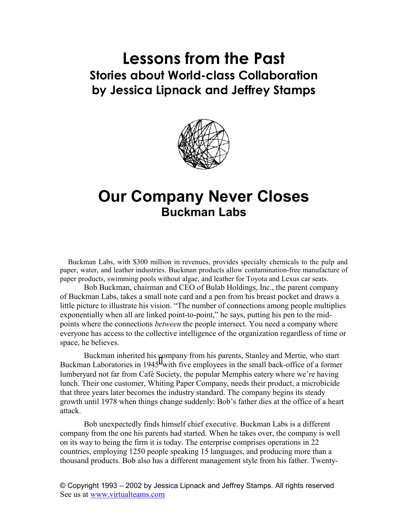# **Lessons from the Past Stories about World-class Collaboration by Jessica Lipnack and Jeffrey Stamps**



# **Our Company Never Closes Buckman Labs**

Buckman Labs, with \$300 million in revenues, provides specialty chemicals to the pulp and paper, water, and leather industries. Buckman products allow contamination-free manufacture of paper products, swimming pools without algae, and leather for Toyota and Lexus car seats.

Bob Buckman, chairman and CEO of Bulab Holdings, Inc., the parent company of Buckman Labs, takes a small note card and a pen from his breast pocket and draws a little picture to illustrate his vision. "The number of connections among people multiplies exponentially when all are linked point-to-point," he says, putting his pen to the midpoints where the connections *between* the people intersect. You need a company where everyone has access to the collective intelligence of the organization regardless of time or space, he believes.

Buckman inherited his [co](#page-6-0)mpany from his parents, Stanley and Mertie, who start Buckman Laboratories in 1945<sup>i</sup> with five employees in the small back-office of a former lumberyard not far from Café Society, the popular Memphis eatery where we're having lunch. Their one customer, Whiting Paper Company, needs their product, a microbicide that three years later becomes the industry standard. The company begins its steady growth until 1978 when things change suddenly: Bob's father dies at the office of a heart attack.

Bob unexpectedly finds himself chief executive. Buckman Labs is a different company from the one his parents had started. When he takes over, the company is well on its way to being the firm it is today. The enterprise comprises operations in 22 countries, employing 1250 people speaking 15 languages, and producing more than a thousand products. Bob also has a different management style from his father. Twenty-

© Copyright 1993 – 2002 by Jessica Lipnack and Jeffrey Stamps. All rights reserved See us at www.virtualteams.com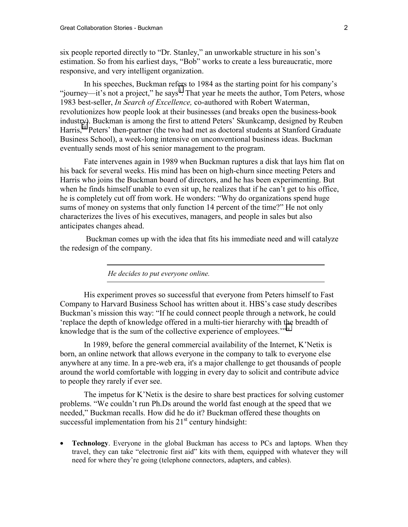six people reported directly to "Dr. Stanley," an unworkable structure in his son's estimation. So from his earliest days, "Bob" works to create a less bureaucratic, more responsive, and very intelligent organization.

In his speeches, Buckman refers to 1984 as the starting point for his company's "journey—it's not a project," he says". That year he meets the author, Tom Peters, whose 1983 best-seller, *In Search of Excellence,* co-authored with Robert Waterman, revolutionizes how people look at their businesses (and breaks open the business-book industry). Buckman is among the first to attend Peters' Skunkcamp, designed by Reuben Harris,<sup>iii</sup> Peters' then-partner (the two had met as doctoral students at Stanford Graduate Business School), a week-long intensive on unconventional business ideas. Buckman eventually sends most of his senior management to the program.

Fate intervenes again in 1989 when Buckman ruptures a disk that lays him flat on his back for several weeks. His mind has been on high-churn since meeting Peters and Harris who joins the Buckman board of directors, and he has been experimenting. But when he finds himself unable to even sit up, he realizes that if he can't get to his office, he is completely cut off from work. He wonders: "Why do organizations spend huge sums of money on systems that only function 14 percent of the time?" He not only characterizes the lives of his executives, managers, and people in sales but also anticipates changes ahead.

 Buckman comes up with the idea that fits his immediate need and will catalyze the redesign of the company.

*He decides to put everyone online.* 

His experiment proves so successful that everyone from Peters himself to Fast Company to Harvard Business School has written about it. HBS's case study describes Buckman's mission this way: "If he could connect people through a network, he could 'replace the depth of knowledge offered in a multi-tier hierarchy with the breadth of knowledge that is the sum of the collect[iv](#page-6-0)e experience of employees.<sup>""</sup>

In 1989, before the general commercial availability of the Internet, K'Netix is born, an online network that allows everyone in the company to talk to everyone else anywhere at any time. In a pre-web era, it's a major challenge to get thousands of people around the world comfortable with logging in every day to solicit and contribute advice to people they rarely if ever see.

The impetus for K'Netix is the desire to share best practices for solving customer problems. "We couldn't run Ph.Ds around the world fast enough at the speed that we needed," Buckman recalls. How did he do it? Buckman offered these thoughts on successful implementation from his  $21<sup>st</sup>$  century hindsight:

• **Technology**. Everyone in the global Buckman has access to PCs and laptops. When they travel, they can take "electronic first aid" kits with them, equipped with whatever they will need for where they're going (telephone connectors, adapters, and cables).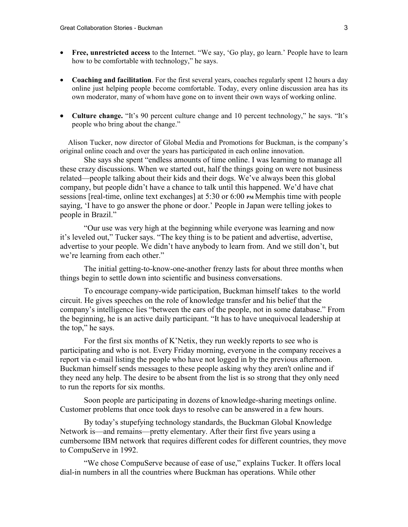- **Free, unrestricted access** to the Internet. "We say, 'Go play, go learn.' People have to learn how to be comfortable with technology," he says.
- **Coaching and facilitation**. For the first several years, coaches regularly spent 12 hours a day online just helping people become comfortable. Today, every online discussion area has its own moderator, many of whom have gone on to invent their own ways of working online.
- **Culture change.** "It's 90 percent culture change and 10 percent technology," he says. "It's people who bring about the change."

Alison Tucker, now director of Global Media and Promotions for Buckman, is the company's original online coach and over the years has participated in each online innovation.

She says she spent "endless amounts of time online. I was learning to manage all these crazy discussions. When we started out, half the things going on were not business related—people talking about their kids and their dogs. We've always been this global company, but people didn't have a chance to talk until this happened. We'd have chat sessions [real-time, online text exchanges] at 5:30 or 6:00 **PM** Memphis time with people saying, 'I have to go answer the phone or door.' People in Japan were telling jokes to people in Brazil."

"Our use was very high at the beginning while everyone was learning and now it's leveled out," Tucker says. "The key thing is to be patient and advertise, advertise, advertise to your people. We didn't have anybody to learn from. And we still don't, but we're learning from each other."

The initial getting-to-know-one-another frenzy lasts for about three months when things begin to settle down into scientific and business conversations.

To encourage company-wide participation, Buckman himself takes to the world circuit. He gives speeches on the role of knowledge transfer and his belief that the company's intelligence lies "between the ears of the people, not in some database." From the beginning, he is an active daily participant. "It has to have unequivocal leadership at the top," he says.

For the first six months of K'Netix, they run weekly reports to see who is participating and who is not. Every Friday morning, everyone in the company receives a report via e-mail listing the people who have not logged in by the previous afternoon. Buckman himself sends messages to these people asking why they aren't online and if they need any help. The desire to be absent from the list is so strong that they only need to run the reports for six months.

Soon people are participating in dozens of knowledge-sharing meetings online. Customer problems that once took days to resolve can be answered in a few hours.

By today's stupefying technology standards, the Buckman Global Knowledge Network is—and remains—pretty elementary. After their first five years using a cumbersome IBM network that requires different codes for different countries, they move to CompuServe in 1992.

"We chose CompuServe because of ease of use," explains Tucker. It offers local dial-in numbers in all the countries where Buckman has operations. While other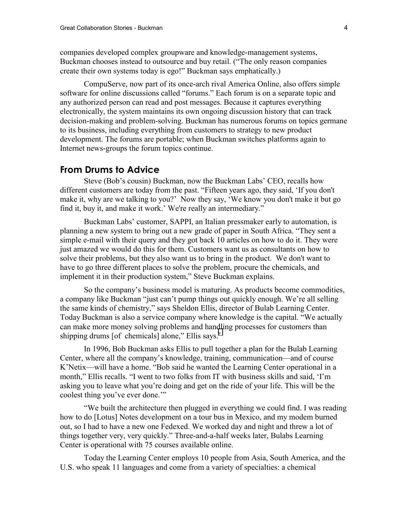companies developed complex groupware and knowledge-management systems, Buckman chooses instead to outsource and buy retail. ("The only reason companies create their own systems today is ego!" Buckman says emphatically.)

CompuServe, now part of its once-arch rival America Online, also offers simple software for online discussions called "forums." Each forum is on a separate topic and any authorized person can read and post messages. Because it captures everything electronically, the system maintains its own ongoing discussion history that can track decision-making and problem-solving. Buckman has numerous forums on topics germane to its business, including everything from customers to strategy to new product development. The forums are portable; when Buckman switches platforms again to Internet news-groups the forum topics continue.

#### **From Drums to Advice**

Steve (Bob's cousin) Buckman, now the Buckman Labs' CEO, recalls how different customers are today from the past. "Fifteen years ago, they said, 'If you don't make it, why are we talking to you?' Now they say, 'We know you don't make it but go find it, buy it, and make it work.' We're really an intermediary."

Buckman Labs' customer, SAPPI, an Italian pressmaker early to automation, is planning a new system to bring out a new grade of paper in South Africa. "They sent a simple e-mail with their query and they got back 10 articles on how to do it. They were just amazed we would do this for them. Customers want us as consultants on how to solve their problems, but they also want us to bring in the product. We don't want to have to go three different places to solve the problem, procure the chemicals, and implement it in their production system," Steve Buckman explains.

So the company's business model is maturing. As products become commodities, a company like Buckman "just can't pump things out quickly enough. We're all selling the same kinds of chemistry," says Sheldon Ellis, director of Bulab Learning Center. Today Buckman is also a service company where knowledge is the capital. "We actually can make more money solving problems and handling processes for customers than shipping drums [of chemicals] alone," Ellis says."

In 1996, Bob Buckman asks Ellis to pull together a plan for the Bulab Learning Center, where all the company's knowledge, training, communication—and of course K'Netix—will have a home. "Bob said he wanted the Learning Center operational in a month," Ellis recalls. "I went to two folks from IT with business skills and said, 'I'm asking you to leave what you're doing and get on the ride of your life. This will be the coolest thing you've ever done.'"

"We built the architecture then plugged in everything we could find. I was reading how to do [Lotus] Notes development on a tour bus in Mexico, and my modem burned out, so I had to have a new one Fedexed. We worked day and night and threw a lot of things together very, very quickly." Three-and-a-half weeks later, Bulabs Learning Center is operational with 75 courses available online.

Today the Learning Center employs 10 people from Asia, South America, and the U.S. who speak 11 languages and come from a variety of specialties: a chemical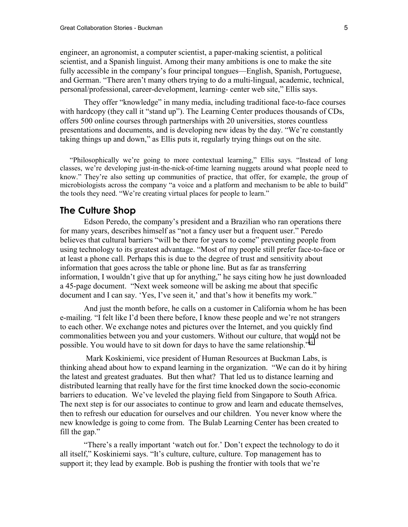engineer, an agronomist, a computer scientist, a paper-making scientist, a political scientist, and a Spanish linguist. Among their many ambitions is one to make the site fully accessible in the company's four principal tongues—English, Spanish, Portuguese, and German. "There aren't many others trying to do a multi-lingual, academic, technical, personal/professional, career-development, learning- center web site," Ellis says.

They offer "knowledge" in many media, including traditional face-to-face courses with hardcopy (they call it "stand up"). The Learning Center produces thousands of CDs, offers 500 online courses through partnerships with 20 universities, stores countless presentations and documents, and is developing new ideas by the day. "We're constantly taking things up and down," as Ellis puts it, regularly trying things out on the site.

 "Philosophically we're going to more contextual learning," Ellis says. "Instead of long classes, we're developing just-in-the-nick-of-time learning nuggets around what people need to know." They're also setting up communities of practice, that offer, for example, the group of microbiologists across the company "a voice and a platform and mechanism to be able to build" the tools they need. "We're creating virtual places for people to learn."

#### **The Culture Shop**

Edson Peredo, the company's president and a Brazilian who ran operations there for many years, describes himself as "not a fancy user but a frequent user." Peredo believes that cultural barriers "will be there for years to come" preventing people from using technology to its greatest advantage. "Most of my people still prefer face-to-face or at least a phone call. Perhaps this is due to the degree of trust and sensitivity about information that goes across the table or phone line. But as far as transferring information, I wouldn't give that up for anything," he says citing how he just downloaded a 45-page document. "Next week someone will be asking me about that specific document and I can say. 'Yes, I've seen it,' and that's how it benefits my work."

And just the month before, he calls on a customer in California whom he has been e-mailing. "I felt like I'd been there before, I know these people and we're not strangers to each other. We exchange notes and pictures over the Internet, and you quickly find commonalities between you and your customers. Without our culture, that would not be possible. You would have to sit down for days to have the same relationship."<sup>[vi](#page-6-0)</sup>

 Mark Koskiniemi, vice president of Human Resources at Buckman Labs, is thinking ahead about how to expand learning in the organization. "We can do it by hiring the latest and greatest graduates. But then what? That led us to distance learning and distributed learning that really have for the first time knocked down the socio-economic barriers to education. We've leveled the playing field from Singapore to South Africa. The next step is for our associates to continue to grow and learn and educate themselves, then to refresh our education for ourselves and our children. You never know where the new knowledge is going to come from. The Bulab Learning Center has been created to fill the gap."

"There's a really important 'watch out for.' Don't expect the technology to do it all itself," Koskiniemi says. "It's culture, culture, culture. Top management has to support it; they lead by example. Bob is pushing the frontier with tools that we're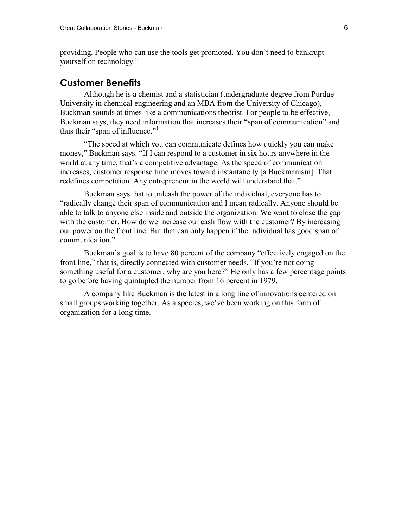providing. People who can use the tools get promoted. You don't need to bankrupt yourself on technology."

### **Customer Benefits**

Although he is a chemist and a statistician (undergraduate degree from Purdue University in chemical engineering and an MBA from the University of Chicago), Buckman sounds at times like a communications theorist. For people to be effective, Buckman says, they need information that increases their "span of communication" and thus their "span of influence."

"The speed at which you can communicate defines how quickly you can make money," Buckman says. "If I can respond to a customer in six hours anywhere in the world at any time, that's a competitive advantage. As the speed of communication increases, customer response time moves toward instantaneity [a Buckmanism]. That redefines competition. Any entrepreneur in the world will understand that."

Buckman says that to unleash the power of the individual, everyone has to "radically change their span of communication and I mean radically. Anyone should be able to talk to anyone else inside and outside the organization. We want to close the gap with the customer. How do we increase our cash flow with the customer? By increasing our power on the front line. But that can only happen if the individual has good span of communication."

Buckman's goal is to have 80 percent of the company "effectively engaged on the front line," that is, directly connected with customer needs. "If you're not doing something useful for a customer, why are you here?" He only has a few percentage points to go before having quintupled the number from 16 percent in 1979.

A company like Buckman is the latest in a long line of innovations centered on small groups working together. As a species, we've been working on this form of organization for a long time.